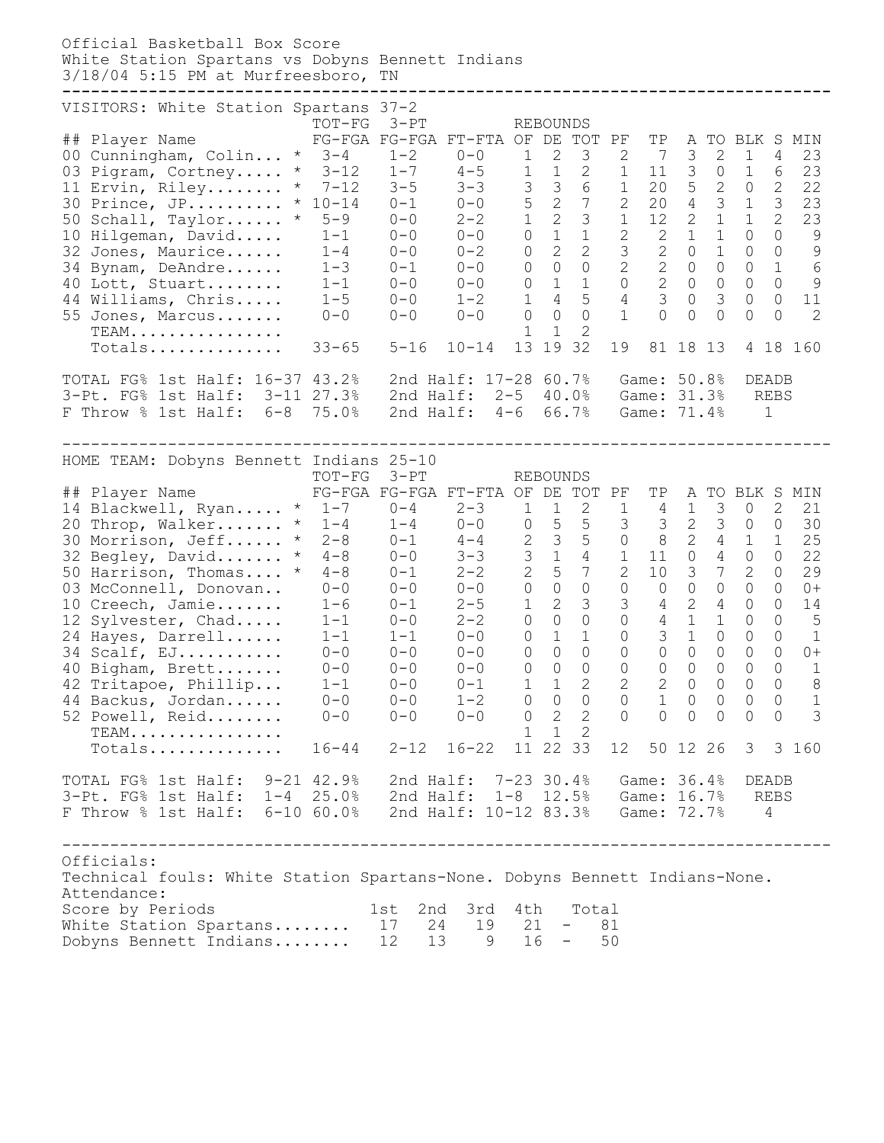Official Basketball Box Score White Station Spartans vs Dobyns Bennett Indians 3/18/04 5:15 PM at Murfreesboro, TN **--------------------------------------------------------------------------------** VISITORS: White Station Spartans 37-2 TOT-FG 3-PT REBOUNDS ## Player Name FG-FGA FG-FGA FT-FTA OF DE TOT PF TP A TO BLK S MIN 00 Cunningham, Colin... \* 3-4 1-2 0-0 1 2 3 2 7 3 2 1 4 23 03 Pigram, Cortney..... \* 3-12 1-7 4-5 1 1 2 1 11 3 0 1 6 23 11 Ervin, Riley........ \* 7-12 3-5 3-3 3 3 6 1 20 5 2 0 2 22 30 Prince, JP.......... \* 10-14 0-1 0-0 5 2 7 2 20 4 3 1 3 23 50 Schall, Taylor...... \* 5-9 0-0 2-2 1 2 3 1 12 2 1 1 2 23 10 Hilgeman, David..... 1-1 0-0 0-0 0 1 1 2 2 1 1 0 0 9 32 Jones, Maurice...... 1-4 0-0 0-2 0 2 2 3 2 0 1 0 0 9 34 Bynam, DeAndre...... 1-3 0-1 0-0 0 0 0 2 2 0 0 0 1 6 40 Lott, Stuart........ 1-1 0-0 0-0 0 1 1 0 2 0 0 0 0 9 44 Williams, Chris..... 1-5 0-0 1-2 1 4 5 4 3 0 3 0 0 11 -- -------------, -------------<br>55 Jones, Marcus....... 0-0 0-0 0-0 0-0 0 0 1 0 0 0 0 0 2 TEAM................ 1 1 2 TEAM................<br>Totals............... 33-65 5-16 10-14 13 19 32 19 81 18 13 4 18 160 TOTAL FG% 1st Half: 16-37 43.2% 2nd Half: 17-28 60.7% Game: 50.8% DEADB 3-Pt. FG% 1st Half: 3-11 27.3% 2nd Half: 2-5 40.0% Game: 31.3% REBS F Throw % 1st Half: 6-8 75.0% 2nd Half: 4-6 66.7% Game: 71.4% 1 -------------------------------------------------------------------------------- HOME TEAM: Dobyns Bennett Indians 25-10 TOT-FG 3-PT REBOUNDS ## Player Name FG-FGA FG-FGA FT-FTA OF DE TOT PF TP A TO BLK S MIN  $14$  Blackwell, Ryan..... \* 1-7 0-4 2-3 1 1 2 1 4 1 3 0 2 21 20 Throp, Walker....... \* 1-4 1-4 0-0 0 5 5 3 3 2 3 0 0 30 30 Morrison, Jeff...... \* 2-8 0-1 4-4 2 3 5 0 8 2 4 1 1 25 32 Begley, David....... \* 4-8 0-0 3-3 3 1 4 1 11 0 4 0 0 22 50 Harrison, Thomas.... \* 4-8 0-1 2-2 2 5 7 2 10 3 7 2 0 29 03 McConnell, Donovan.. 0-0 0-0 0-0 0 0 0 0 0 0 0 0 0 0+ 10 Creech, Jamie....... 1-6 0-1 2-5 1 2 3 3 4 2 4 0 0 14 12 Sylvester, Chad..... 1-1 0-0 2-2 0 0 0 0 4 1 1 0 0 5 24 Hayes, Darrell...... 1-1 1-1 0-0 0 1 1 0 3 1 0 0 0 1 34 Scalf, EJ........... 0-0 0-0 0-0 0 0 0 0 0 0 0 0 0 0+ 40 Bigham, Brett....... 0-0 0-0 0-0 0 0 0 0 0 0 0 0 0 1 42 Tritapoe, Phillip... 1-1 0-0 0-1 1 1 2 2 2 0 0 0 0 8 44 Backus, Jordan...... 0-0 0-0 1-2 0 0 0 0 1 0 0 0 0 1 52 Powell, Reid........ 0-0 0-0 0-0 0 2 2 0 0 0 0 0 0 3 TEAM................ 1 1 2 Totals.............. 16-44 2-12 16-22 11 22 33 12 50 12 26 3 3 160 TOTAL FG% 1st Half: 9-21 42.9% 2nd Half: 7-23 30.4% Game: 36.4% DEADB 3-Pt. FG% 1st Half: 1-4 25.0% 2nd Half: 1-8 12.5% Game: 16.7% REBS F Throw % 1st Half: 6-10 60.0% 2nd Half: 10-12 83.3% Game: 72.7% 4 -------------------------------------------------------------------------------- Officials: Technical fouls: White Station Spartans-None. Dobyns Bennett Indians-None. Attendance: Score by Periods 1st 2nd 3rd 4th Total White Station Spartans........ 17 24 19 21 - 81 Dobyns Bennett Indians........ 12 13 9 16 - 50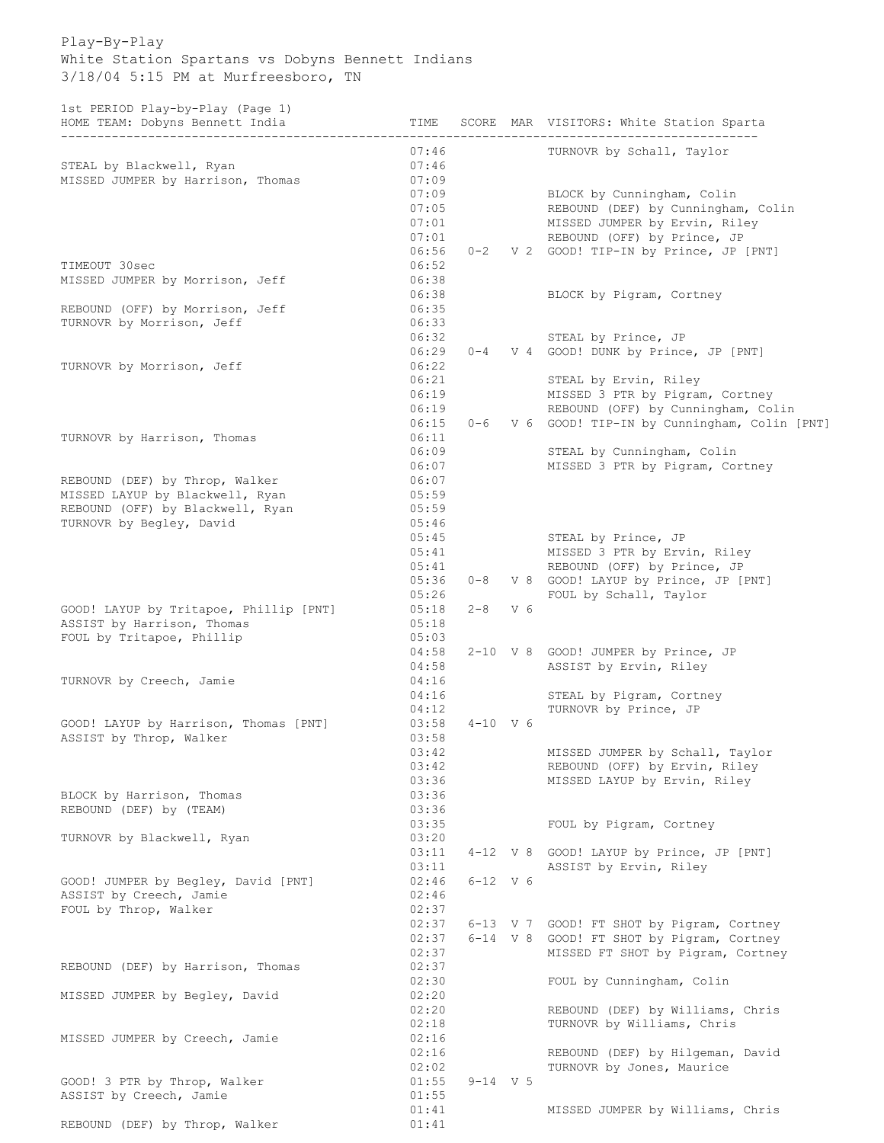## Play-By-Play White Station Spartans vs Dobyns Bennett Indians 3/18/04 5:15 PM at Murfreesboro, TN

1st PERIOD Play-by-Play (Page 1)

| HOME TEAM: Dobyns Bennett India                  | TIME           |              |              | SCORE MAR VISITORS: White Station Sparta                     |
|--------------------------------------------------|----------------|--------------|--------------|--------------------------------------------------------------|
| STEAL by Blackwell, Ryan                         | 07:46<br>07:46 |              |              | TURNOVR by Schall, Taylor                                    |
| MISSED JUMPER by Harrison, Thomas                | 07:09          |              |              |                                                              |
|                                                  | 07:09          |              |              | BLOCK by Cunningham, Colin                                   |
|                                                  | 07:05<br>07:01 |              |              | REBOUND (DEF) by Cunningham, Colin                           |
|                                                  | 07:01          |              |              | MISSED JUMPER by Ervin, Riley<br>REBOUND (OFF) by Prince, JP |
|                                                  | 06:56          |              |              | 0-2 V 2 GOOD! TIP-IN by Prince, JP [PNT]                     |
| TIMEOUT 30sec                                    | 06:52          |              |              |                                                              |
| MISSED JUMPER by Morrison, Jeff                  | 06:38          |              |              |                                                              |
|                                                  | 06:38          |              |              | BLOCK by Pigram, Cortney                                     |
| REBOUND (OFF) by Morrison, Jeff                  | 06:35          |              |              |                                                              |
| TURNOVR by Morrison, Jeff                        | 06:33<br>06:32 |              |              | STEAL by Prince, JP                                          |
|                                                  | 06:29          |              |              | 0-4 V 4 GOOD! DUNK by Prince, JP [PNT]                       |
| TURNOVR by Morrison, Jeff                        | 06:22          |              |              |                                                              |
|                                                  | 06:21          |              |              | STEAL by Ervin, Riley                                        |
|                                                  | 06:19          |              |              | MISSED 3 PTR by Pigram, Cortney                              |
|                                                  | 06:19          |              |              | REBOUND (OFF) by Cunningham, Colin                           |
|                                                  | 06:15          |              |              | 0-6 V 6 GOOD! TIP-IN by Cunningham, Colin [PNT]              |
| TURNOVR by Harrison, Thomas                      | 06:11<br>06:09 |              |              | STEAL by Cunningham, Colin                                   |
|                                                  | 06:07          |              |              | MISSED 3 PTR by Pigram, Cortney                              |
| REBOUND (DEF) by Throp, Walker                   | 06:07          |              |              |                                                              |
| MISSED LAYUP by Blackwell, Ryan                  | 05:59          |              |              |                                                              |
| REBOUND (OFF) by Blackwell, Ryan                 | 05:59          |              |              |                                                              |
| TURNOVR by Begley, David                         | 05:46          |              |              |                                                              |
|                                                  | 05:45          |              |              | STEAL by Prince, JP                                          |
|                                                  | 05:41<br>05:41 |              |              | MISSED 3 PTR by Ervin, Riley<br>REBOUND (OFF) by Prince, JP  |
|                                                  | 05:36          |              |              | 0-8 V 8 GOOD! LAYUP by Prince, JP [PNT]                      |
|                                                  | 05:26          |              |              | FOUL by Schall, Taylor                                       |
| GOOD! LAYUP by Tritapoe, Phillip [PNT]           | 05:18          | $2 - 8$      | V 6          |                                                              |
| ASSIST by Harrison, Thomas                       | 05:18          |              |              |                                                              |
| FOUL by Tritapoe, Phillip                        | 05:03          |              |              |                                                              |
|                                                  | 04:58          |              |              | 2-10 V 8 GOOD! JUMPER by Prince, JP                          |
|                                                  | 04:58          |              |              | ASSIST by Ervin, Riley                                       |
| TURNOVR by Creech, Jamie                         | 04:16<br>04:16 |              |              | STEAL by Pigram, Cortney                                     |
|                                                  | 04:12          |              |              | TURNOVR by Prince, JP                                        |
| GOOD! LAYUP by Harrison, Thomas [PNT]            | 03:58          | $4 - 10$ V 6 |              |                                                              |
| ASSIST by Throp, Walker                          | 03:58          |              |              |                                                              |
|                                                  | 03:42          |              |              | MISSED JUMPER by Schall, Taylor                              |
|                                                  | 03:42          |              |              | REBOUND (OFF) by Ervin, Riley                                |
| BLOCK by Harrison, Thomas                        | 03:36<br>03:36 |              |              | MISSED LAYUP by Ervin, Riley                                 |
| REBOUND (DEF) by (TEAM)                          | 03:36          |              |              |                                                              |
|                                                  | 03:35          |              |              | FOUL by Pigram, Cortney                                      |
| TURNOVR by Blackwell, Ryan                       | 03:20          |              |              |                                                              |
|                                                  | 03:11          |              |              | 4-12 V 8 GOOD! LAYUP by Prince, JP [PNT]                     |
|                                                  | 03:11          |              |              | ASSIST by Ervin, Riley                                       |
| GOOD! JUMPER by Begley, David [PNT]              | 02:46          |              | $6 - 12$ V 6 |                                                              |
| ASSIST by Creech, Jamie<br>FOUL by Throp, Walker | 02:46<br>02:37 |              |              |                                                              |
|                                                  | 02:37          |              |              | 6-13 V 7 GOOD! FT SHOT by Pigram, Cortney                    |
|                                                  | 02:37          |              |              | 6-14 V 8 GOOD! FT SHOT by Pigram, Cortney                    |
|                                                  | 02:37          |              |              | MISSED FT SHOT by Pigram, Cortney                            |
| REBOUND (DEF) by Harrison, Thomas                | 02:37          |              |              |                                                              |
|                                                  | 02:30          |              |              | FOUL by Cunningham, Colin                                    |
| MISSED JUMPER by Begley, David                   | 02:20          |              |              |                                                              |
|                                                  | 02:20          |              |              | REBOUND (DEF) by Williams, Chris                             |
|                                                  | 02:18<br>02:16 |              |              | TURNOVR by Williams, Chris                                   |
| MISSED JUMPER by Creech, Jamie                   | 02:16          |              |              | REBOUND (DEF) by Hilgeman, David                             |
|                                                  | 02:02          |              |              | TURNOVR by Jones, Maurice                                    |
| GOOD! 3 PTR by Throp, Walker                     | 01:55          | $9 - 14$ V 5 |              |                                                              |
| ASSIST by Creech, Jamie                          | 01:55          |              |              |                                                              |
|                                                  | 01:41          |              |              | MISSED JUMPER by Williams, Chris                             |
| REBOUND (DEF) by Throp, Walker                   | 01:41          |              |              |                                                              |
|                                                  |                |              |              |                                                              |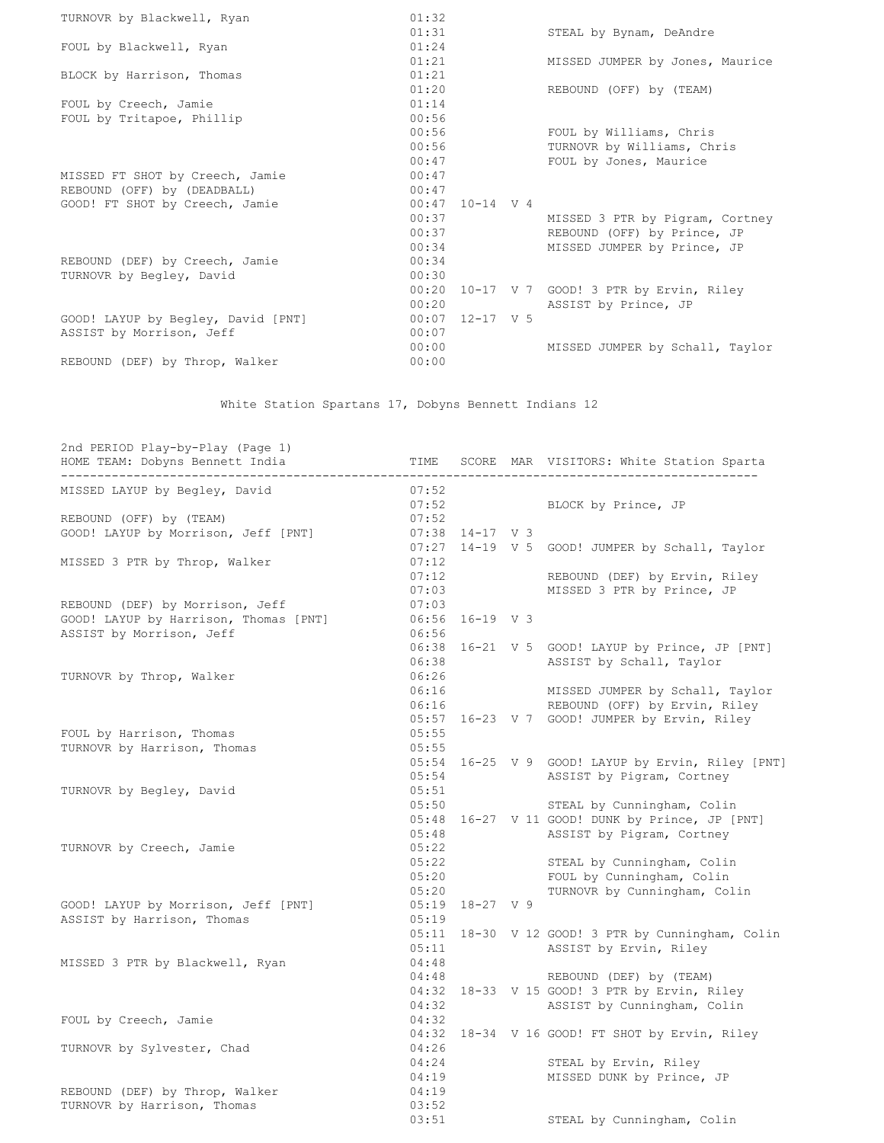| TURNOVR by Blackwell, Ryan         | 01:32             |  |                                       |
|------------------------------------|-------------------|--|---------------------------------------|
|                                    | 01:31             |  | STEAL by Bynam, DeAndre               |
| FOUL by Blackwell, Ryan            | 01:24             |  |                                       |
|                                    | 01:21             |  | MISSED JUMPER by Jones, Maurice       |
| BLOCK by Harrison, Thomas          | 01:21             |  |                                       |
|                                    | 01:20             |  | REBOUND (OFF) by (TEAM)               |
| FOUL by Creech, Jamie              | 01:14             |  |                                       |
| FOUL by Tritapoe, Phillip          | 00:56             |  |                                       |
|                                    | 00:56             |  | FOUL by Williams, Chris               |
|                                    | 00:56             |  | TURNOVR by Williams, Chris            |
|                                    | 00:47             |  | FOUL by Jones, Maurice                |
| MISSED FT SHOT by Creech, Jamie    | 00:47             |  |                                       |
| REBOUND (OFF) by (DEADBALL)        | 00:47             |  |                                       |
| GOOD! FT SHOT by Creech, Jamie     | $00:47$ 10-14 V 4 |  |                                       |
|                                    | 00:37             |  | MISSED 3 PTR by Pigram, Cortney       |
|                                    | 00:37             |  | REBOUND (OFF) by Prince, JP           |
|                                    | 00:34             |  | MISSED JUMPER by Prince, JP           |
| REBOUND (DEF) by Creech, Jamie     | 00:34             |  |                                       |
| TURNOVR by Begley, David           | 00:30             |  |                                       |
|                                    | 00:20             |  | 10-17 V 7 GOOD! 3 PTR by Ervin, Riley |
|                                    | 00:20             |  | ASSIST by Prince, JP                  |
| GOOD! LAYUP by Begley, David [PNT] | $00:07$ 12-17 V 5 |  |                                       |
| ASSIST by Morrison, Jeff           | 00:07             |  |                                       |
|                                    | 00:00             |  | MISSED JUMPER by Schall, Taylor       |
| REBOUND (DEF) by Throp, Walker     | 00:00             |  |                                       |
|                                    |                   |  |                                       |

White Station Spartans 17, Dobyns Bennett Indians 12

| 2nd PERIOD Play-by-Play (Page 1)<br>HOME TEAM: Dobyns Bennett India |       |                     | TIME SCORE MAR VISITORS: White Station Sparta     |  |  |  |  |
|---------------------------------------------------------------------|-------|---------------------|---------------------------------------------------|--|--|--|--|
|                                                                     |       |                     |                                                   |  |  |  |  |
| MISSED LAYUP by Begley, David                                       | 07:52 |                     |                                                   |  |  |  |  |
|                                                                     |       | 07:52               | BLOCK by Prince, JP                               |  |  |  |  |
| REBOUND (OFF) by (TEAM)                                             | 07:52 |                     |                                                   |  |  |  |  |
| GOOD! LAYUP by Morrison, Jeff [PNT]                                 |       | $07:38$ 14-17 V 3   |                                                   |  |  |  |  |
|                                                                     |       |                     | 07:27 14-19 V 5 GOOD! JUMPER by Schall, Taylor    |  |  |  |  |
| MISSED 3 PTR by Throp, Walker                                       | 07:12 |                     |                                                   |  |  |  |  |
|                                                                     | 07:12 |                     | REBOUND (DEF) by Ervin, Riley                     |  |  |  |  |
|                                                                     | 07:03 |                     | MISSED 3 PTR by Prince, JP                        |  |  |  |  |
| REBOUND (DEF) by Morrison, Jeff                                     | 07:03 |                     |                                                   |  |  |  |  |
| GOOD! LAYUP by Harrison, Thomas [PNT]                               |       | 06:56 16-19 V 3     |                                                   |  |  |  |  |
| ASSIST by Morrison, Jeff                                            | 06:56 |                     |                                                   |  |  |  |  |
|                                                                     |       |                     | 06:38 16-21 V 5 GOOD! LAYUP by Prince, JP [PNT]   |  |  |  |  |
|                                                                     | 06:26 | 06:38               | ASSIST by Schall, Taylor                          |  |  |  |  |
| TURNOVR by Throp, Walker                                            | 06:16 |                     | MISSED JUMPER by Schall, Taylor                   |  |  |  |  |
|                                                                     | 06:16 |                     | REBOUND (OFF) by Ervin, Riley                     |  |  |  |  |
|                                                                     |       |                     | 05:57 16-23 V 7 GOOD! JUMPER by Ervin, Riley      |  |  |  |  |
| FOUL by Harrison, Thomas                                            | 05:55 |                     |                                                   |  |  |  |  |
| TURNOVR by Harrison, Thomas                                         | 05:55 |                     |                                                   |  |  |  |  |
|                                                                     |       |                     | 05:54 16-25 V 9 GOOD! LAYUP by Ervin, Riley [PNT] |  |  |  |  |
|                                                                     | 05:54 |                     | ASSIST by Pigram, Cortney                         |  |  |  |  |
| TURNOVR by Begley, David                                            | 05:51 |                     |                                                   |  |  |  |  |
|                                                                     | 05:50 |                     | STEAL by Cunningham, Colin                        |  |  |  |  |
|                                                                     |       |                     | 05:48 16-27 V 11 GOOD! DUNK by Prince, JP [PNT]   |  |  |  |  |
|                                                                     | 05:48 |                     | ASSIST by Pigram, Cortney                         |  |  |  |  |
| TURNOVR by Creech, Jamie                                            | 05:22 |                     |                                                   |  |  |  |  |
|                                                                     | 05:22 |                     | STEAL by Cunningham, Colin                        |  |  |  |  |
|                                                                     | 05:20 |                     | FOUL by Cunningham, Colin                         |  |  |  |  |
|                                                                     | 05:20 |                     | TURNOVR by Cunningham, Colin                      |  |  |  |  |
| GOOD! LAYUP by Morrison, Jeff [PNT]                                 |       | $05:19$ $18-27$ V 9 |                                                   |  |  |  |  |
| ASSIST by Harrison, Thomas                                          | 05:19 |                     |                                                   |  |  |  |  |
|                                                                     |       |                     | 05:11 18-30 V 12 GOOD! 3 PTR by Cunningham, Colin |  |  |  |  |
|                                                                     | 05:11 |                     | ASSIST by Ervin, Riley                            |  |  |  |  |
| MISSED 3 PTR by Blackwell, Ryan                                     | 04:48 |                     |                                                   |  |  |  |  |
|                                                                     |       |                     | 04:48 REBOUND (DEF) by (TEAM)                     |  |  |  |  |
|                                                                     |       |                     | 04:32 18-33 V 15 GOOD! 3 PTR by Ervin, Riley      |  |  |  |  |
|                                                                     | 04:32 |                     | ASSIST by Cunningham, Colin                       |  |  |  |  |
| FOUL by Creech, Jamie                                               | 04:32 |                     |                                                   |  |  |  |  |
|                                                                     |       |                     | 04:32 18-34 V 16 GOOD! FT SHOT by Ervin, Riley    |  |  |  |  |
| TURNOVR by Sylvester, Chad                                          | 04:26 |                     |                                                   |  |  |  |  |
|                                                                     | 04:24 |                     | STEAL by Ervin, Riley                             |  |  |  |  |
|                                                                     | 04:19 |                     | MISSED DUNK by Prince, JP                         |  |  |  |  |
| REBOUND (DEF) by Throp, Walker                                      | 04:19 |                     |                                                   |  |  |  |  |
| TURNOVR by Harrison, Thomas                                         | 03:52 |                     |                                                   |  |  |  |  |
|                                                                     | 03:51 |                     | STEAL by Cunningham, Colin                        |  |  |  |  |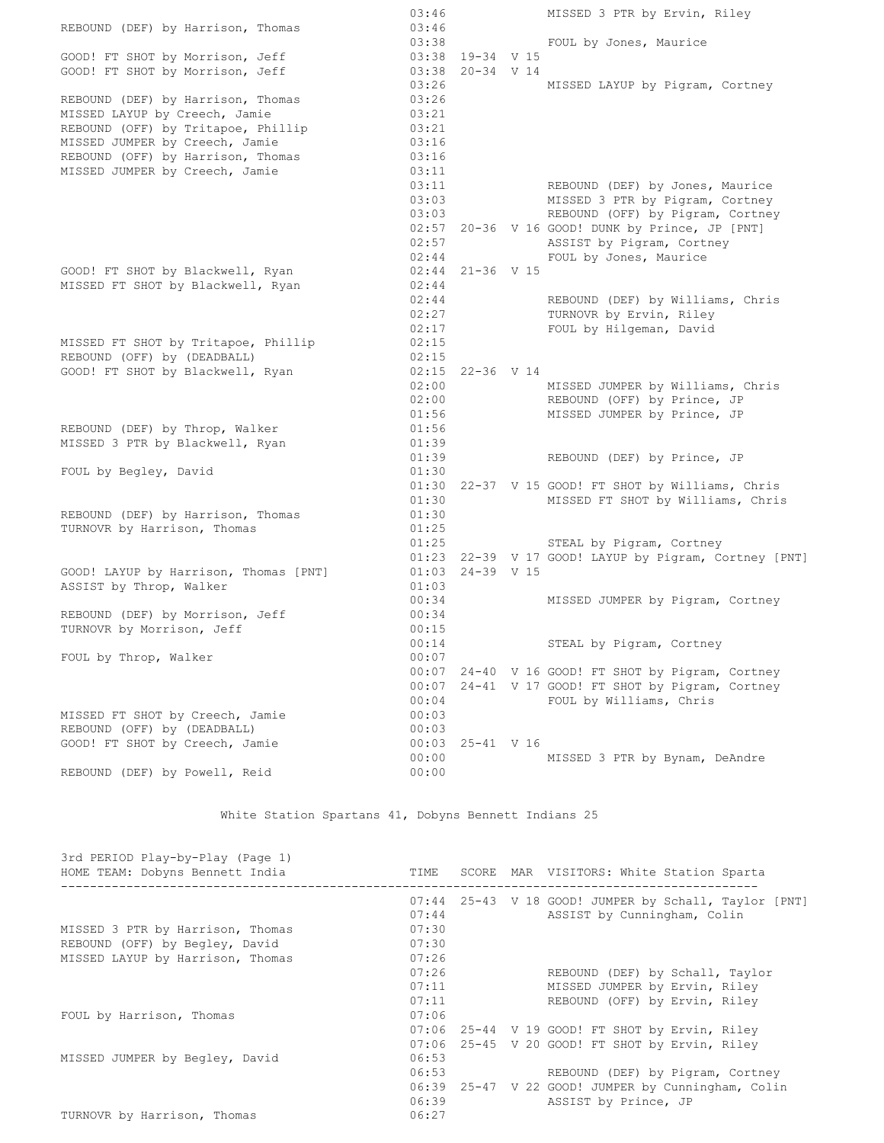|                                       | 03:46 |                    | MISSED 3 PTR by Ervin, Riley                          |
|---------------------------------------|-------|--------------------|-------------------------------------------------------|
| REBOUND (DEF) by Harrison, Thomas     | 03:46 |                    |                                                       |
|                                       | 03:38 |                    | FOUL by Jones, Maurice                                |
| GOOD! FT SHOT by Morrison, Jeff       |       | 03:38 19-34 V 15   |                                                       |
| GOOD! FT SHOT by Morrison, Jeff       | 03:38 | $20 - 34$ V 14     |                                                       |
|                                       | 03:26 |                    | MISSED LAYUP by Pigram, Cortney                       |
| REBOUND (DEF) by Harrison, Thomas     | 03:26 |                    |                                                       |
| MISSED LAYUP by Creech, Jamie         | 03:21 |                    |                                                       |
| REBOUND (OFF) by Tritapoe, Phillip    | 03:21 |                    |                                                       |
| MISSED JUMPER by Creech, Jamie        | 03:16 |                    |                                                       |
| REBOUND (OFF) by Harrison, Thomas     | 03:16 |                    |                                                       |
| MISSED JUMPER by Creech, Jamie        | 03:11 |                    |                                                       |
|                                       | 03:11 |                    | REBOUND (DEF) by Jones, Maurice                       |
|                                       | 03:03 |                    | MISSED 3 PTR by Pigram, Cortney                       |
|                                       | 03:03 |                    | REBOUND (OFF) by Pigram, Cortney                      |
|                                       |       |                    |                                                       |
|                                       | 02:57 |                    | 02:57 20-36 V 16 GOOD! DUNK by Prince, JP [PNT]       |
|                                       |       |                    | ASSIST by Pigram, Cortney                             |
|                                       | 02:44 |                    | FOUL by Jones, Maurice                                |
| GOOD! FT SHOT by Blackwell, Ryan      |       | 02:44 21-36 V 15   |                                                       |
| MISSED FT SHOT by Blackwell, Ryan     | 02:44 |                    |                                                       |
|                                       | 02:44 |                    | REBOUND (DEF) by Williams, Chris                      |
|                                       | 02:27 |                    | TURNOVR by Ervin, Riley                               |
|                                       | 02:17 |                    | FOUL by Hilgeman, David                               |
| MISSED FT SHOT by Tritapoe, Phillip   | 02:15 |                    |                                                       |
| REBOUND (OFF) by (DEADBALL)           | 02:15 |                    |                                                       |
| GOOD! FT SHOT by Blackwell, Ryan      |       | $02:15$ 22-36 V 14 |                                                       |
|                                       | 02:00 |                    | MISSED JUMPER by Williams, Chris                      |
|                                       | 02:00 |                    | REBOUND (OFF) by Prince, JP                           |
|                                       | 01:56 |                    | MISSED JUMPER by Prince, JP                           |
| REBOUND (DEF) by Throp, Walker        | 01:56 |                    |                                                       |
| MISSED 3 PTR by Blackwell, Ryan       | 01:39 |                    |                                                       |
|                                       | 01:39 |                    | REBOUND (DEF) by Prince, JP                           |
| FOUL by Begley, David                 | 01:30 |                    |                                                       |
|                                       |       |                    | 01:30 22-37 V 15 GOOD! FT SHOT by Williams, Chris     |
|                                       | 01:30 |                    | MISSED FT SHOT by Williams, Chris                     |
| REBOUND (DEF) by Harrison, Thomas     | 01:30 |                    |                                                       |
| TURNOVR by Harrison, Thomas           | 01:25 |                    |                                                       |
|                                       | 01:25 |                    | STEAL by Pigram, Cortney                              |
|                                       |       |                    | 01:23 22-39 V 17 GOOD! LAYUP by Pigram, Cortney [PNT] |
| GOOD! LAYUP by Harrison, Thomas [PNT] | 01:03 | $24 - 39$ V 15     |                                                       |
| ASSIST by Throp, Walker               | 01:03 |                    |                                                       |
|                                       | 00:34 |                    |                                                       |
|                                       |       |                    | MISSED JUMPER by Pigram, Cortney                      |
| REBOUND (DEF) by Morrison, Jeff       | 00:34 |                    |                                                       |
| TURNOVR by Morrison, Jeff             | 00:15 |                    |                                                       |
|                                       | 00:14 |                    | STEAL by Pigram, Cortney                              |
| FOUL by Throp, Walker                 | 00:07 |                    |                                                       |
|                                       | 00:07 |                    | 24-40 V 16 GOOD! FT SHOT by Pigram, Cortney           |
|                                       | 00:07 |                    | 24-41 V 17 GOOD! FT SHOT by Pigram, Cortney           |
|                                       | 00:04 |                    | FOUL by Williams, Chris                               |
| MISSED FT SHOT by Creech, Jamie       | 00:03 |                    |                                                       |
| REBOUND (OFF) by (DEADBALL)           | 00:03 |                    |                                                       |
| GOOD! FT SHOT by Creech, Jamie        | 00:03 | 25-41 V 16         |                                                       |
|                                       | 00:00 |                    | MISSED 3 PTR by Bynam, DeAndre                        |
| REBOUND (DEF) by Powell, Reid         | 00:00 |                    |                                                       |

White Station Spartans 41, Dobyns Bennett Indians 25

| 3rd PERIOD Play-by-Play (Page 1)<br>HOME TEAM: Dobyns Bennett India                                    | TIME                             |  | SCORE MAR VISITORS: White Station Sparta                                                                       |
|--------------------------------------------------------------------------------------------------------|----------------------------------|--|----------------------------------------------------------------------------------------------------------------|
| MISSED 3 PTR by Harrison, Thomas<br>REBOUND (OFF) by Begley, David<br>MISSED LAYUP by Harrison, Thomas | 07:44<br>07:30<br>07:30<br>07:26 |  | 07:44 25-43 V 18 GOOD! JUMPER by Schall, Taylor [PNT]<br>ASSIST by Cunningham, Colin                           |
|                                                                                                        | 07:26<br>07:11<br>07:11          |  | REBOUND (DEF) by Schall, Taylor<br>MISSED JUMPER by Ervin, Riley<br>REBOUND (OFF) by Ervin, Riley              |
| FOUL by Harrison, Thomas                                                                               | 07:06<br>07:06                   |  | 07:06 25-44 V 19 GOOD! FT SHOT by Ervin, Riley<br>25-45 V 20 GOOD! FT SHOT by Ervin, Riley                     |
| MISSED JUMPER by Begley, David                                                                         | 06:53<br>06:53<br>06:39          |  | REBOUND (DEF) by Pigram, Cortney<br>06:39 25-47 V 22 GOOD! JUMPER by Cunningham, Colin<br>ASSIST by Prince, JP |
| TURNOVR by Harrison, Thomas                                                                            | 06:27                            |  |                                                                                                                |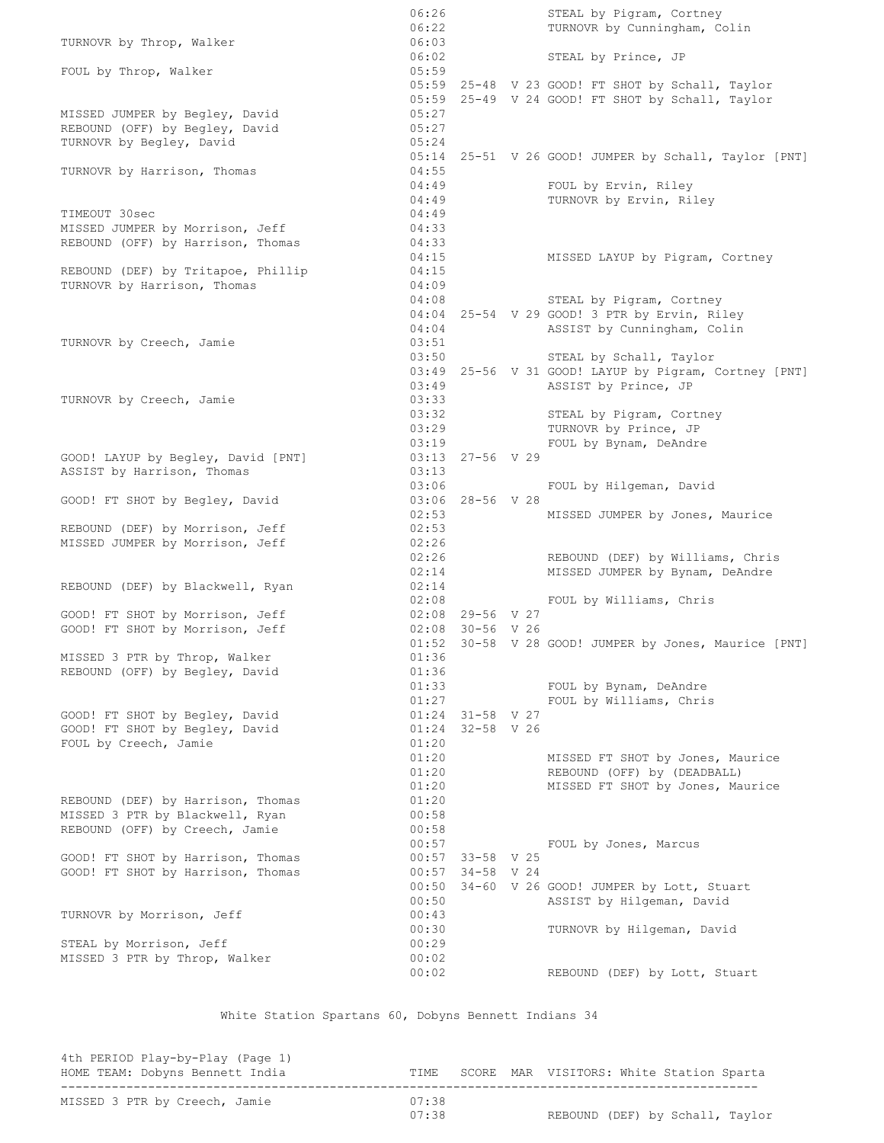06:26 STEAL by Pigram, Cortney 06:22 TURNOVR by Cunningham, Colin TURNOVR by Throp, Walker 06:03 06:02 STEAL by Prince, JP FOUL by Throp, Walker 05:59 05:59 25-48 V 23 GOOD! FT SHOT by Schall, Taylor 05:59 25-49 V 24 GOOD! FT SHOT by Schall, Taylor MISSED JUMPER by Begley, David 1988 1999 REBOUND (OFF) by Begley, David (05:27) REBOUND (OFF) by Begley, David 05:27<br>TURNOVR by Begley, David 05:24 05:14 25-51 V 26 GOOD! JUMPER by Schall, Taylor [PNT] TURNOVR by Harrison, Thomas 04:55 04:49 FOUL by Ervin, Riley 04:49 TURNOVR by Ervin, Riley TIMEOUT 30sec 04:49 MISSED JUMPER by Morrison, Jeff 04:33 REBOUND (OFF) by Harrison, Thomas 04:33 04:15 MISSED LAYUP by Pigram, Cortney REBOUND (DEF) by Tritapoe, Phillip 04:15 TURNOVR by Harrison, Thomas 04:09 04:08 STEAL by Pigram, Cortney 04:04 25-54 V 29 GOOD! 3 PTR by Ervin, Riley 04:04 ASSIST by Cunningham, Colin TURNOVR by Creech, Jamie 03:51 03:50 STEAL by Schall, Taylor 03:49 25-56 V 31 GOOD! LAYUP by Pigram, Cortney [PNT] 03:49 ASSIST by Prince, JP TURNOVR by Creech, Jamie 03:33 03:32 STEAL by Pigram, Cortney 03:29 TURNOVR by Prince, JP 03:19 FOUL by Bynam, DeAndre GOOD! LAYUP by Begley, David [PNT] 03:13 27-56 V 29<br>ASSIST by Harrison, Thomas 03:13 ASSIST by Harrison, Thomas 03:06 FOUL by Hilgeman, David GOOD! FT SHOT by Begley, David 03:06 28-56 V 28 02:53 MISSED JUMPER by Jones, Maurice REBOUND (DEF) by Morrison, Jeff 02:53 MISSED JUMPER by Morrison, Jeff 02:26 02:26 REBOUND (DEF) by Williams, Chris 02:14 MISSED JUMPER by Bynam, DeAndre REBOUND (DEF) by Blackwell, Ryan 02:14 02:08 FOUL by Williams, Chris GOOD! FT SHOT by Morrison, Jeff 602:08 29-56 V 27 GOOD! FT SHOT by Morrison, Jeff 02:08 30-56 V 26 01:52 30-58 V 28 GOOD! JUMPER by Jones, Maurice [PNT] MISSED 3 PTR by Throp, Walker 01:36 REBOUND (OFF) by Begley, David 01:36 01:33 FOUL by Bynam, DeAndre 01:27 FOUL by Williams, Chris GOOD! FT SHOT by Begley, David 01:24 31-58 V 27 GOOD! FT SHOT by Begley, David 01:24 32-58 V 26 FOUL by Creech, Jamie 01:20 01:20 MISSED FT SHOT by Jones, Maurice 01:20 REBOUND (OFF) by (DEADBALL) 01:20 MISSED FT SHOT by Jones, Maurice REBOUND (DEF) by Harrison, Thomas 01:20<br>MISSED 3 PTR by Blackwell, Ryan 00:58 MISSED 3 PTR by Blackwell, Ryan REBOUND (OFF) by Creech, Jamie 00:58 00:57 FOUL by Jones, Marcus<br>00:57 33-58 V 25<br>00:57 34-58 V 24 GOOD! FT SHOT by Harrison, Thomas GOOD! FT SHOT by Harrison, Thomas 00:50 34-60 V 26 GOOD! JUMPER by Lott, Stuart 00:50 ASSIST by Hilgeman, David TURNOVR by Morrison, Jeff 00:43 00:30 TURNOVR by Hilgeman, David STEAL by Morrison, Jeff 00:29 MISSED 3 PTR by Throp, Walker 00:02 00:02 REBOUND (DEF) by Lott, Stuart

White Station Spartans 60, Dobyns Bennett Indians 34

| 4th PERIOD Play-by-Play (Page 1)<br>HOME TEAM: Dobyns Bennett India |       |  | TIME SCORE MAR VISITORS: White Station Sparta |  |  |
|---------------------------------------------------------------------|-------|--|-----------------------------------------------|--|--|
| MISSED 3 PTR by Creech, Jamie                                       | 07:38 |  |                                               |  |  |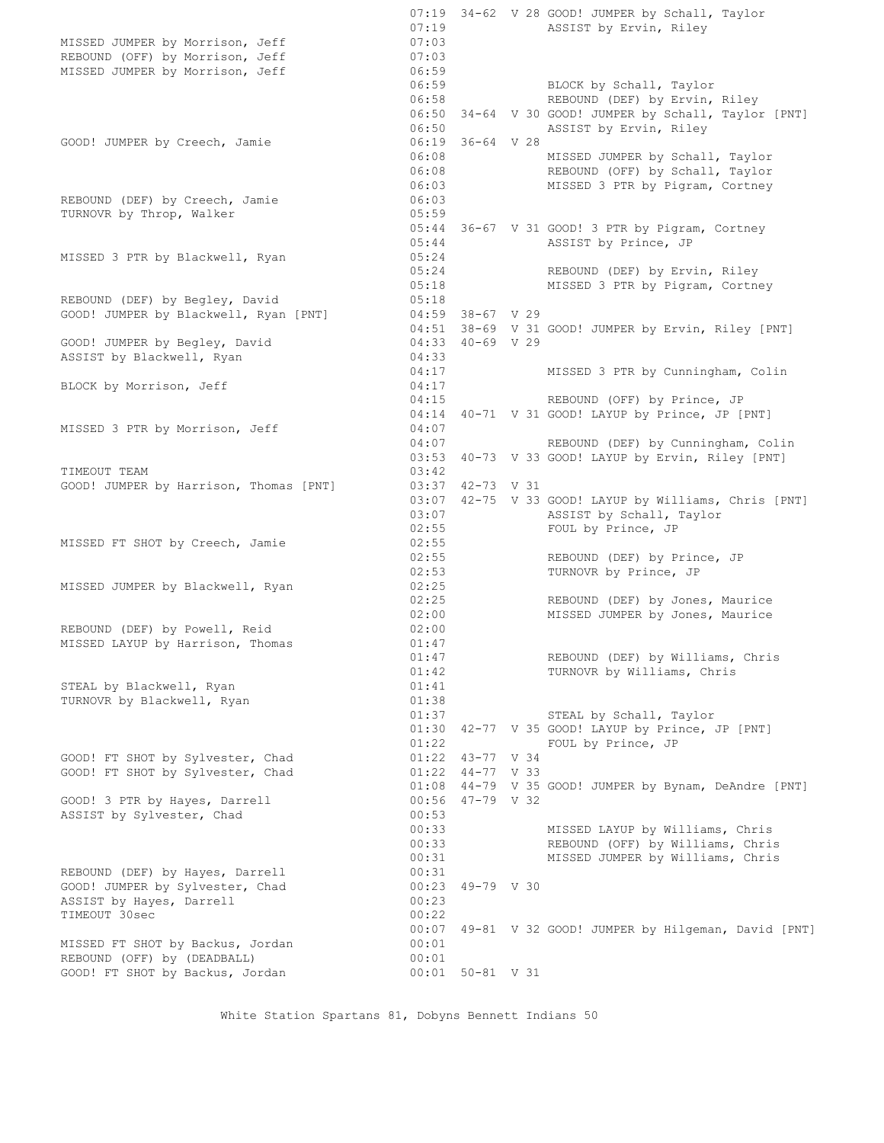07:19 34-62 V 28 GOOD! JUMPER by Schall, Taylor 07:19 **ASSIST** by Ervin, Riley MISSED JUMPER by Morrison, Jeff 07:03 REBOUND (OFF) by Morrison, Jeff 07:03 MISSED JUMPER by Morrison, Jeff 06:59 06:59 BLOCK by Schall, Taylor 06:58 REBOUND (DEF) by Ervin, Riley 06:50 34-64 V 30 GOOD! JUMPER by Schall, Taylor [PNT] 06:50 **ASSIST** by Ervin, Riley GOOD! JUMPER by Creech, Jamie 06:19 36-64 V 28 06:08 MISSED JUMPER by Schall, Taylor 06:08 REBOUND (OFF) by Schall, Taylor 06:03 MISSED 3 PTR by Pigram, Cortney REBOUND (DEF) by Creech, Jamie 06:03 TURNOVR by Throp, Walker 05:59 05:44 36-67 V 31 GOOD! 3 PTR by Pigram, Cortney 05:44 ASSIST by Prince, JP MISSED 3 PTR by Blackwell, Ryan 05:24 05:24 REBOUND (DEF) by Ervin, Riley 05:18 MISSED 3 PTR by Pigram, Cortney REBOUND (DEF) by Begley, David 05:18 REBOUND (DEF) by Begiey, David<br>GOOD! JUMPER by Blackwell, Ryan [PNT] 04:59 38-67 V 29 04:51 38-69 V 31 GOOD! JUMPER by Ervin, Riley [PNT] GOOD! JUMPER by Begley, David 04:33 40-69 V 29 ASSIST by Blackwell, Ryan 04:33 04:17 MISSED 3 PTR by Cunningham, Colin BLOCK by Morrison, Jeff 04:17 04:15 REBOUND (OFF) by Prince, JP 04:14 40-71 V 31 GOOD! LAYUP by Prince, JP [PNT] MISSED 3 PTR by Morrison, Jeff 04:07 04:07 REBOUND (DEF) by Cunningham, Colin 03:53 40-73 V 33 GOOD! LAYUP by Ervin, Riley [PNT] TIMEOUT TEAM 63:42 GOOD! JUMPER by Harrison, Thomas [PNT] 03:37 42-73 V 31 03:07 42-75 V 33 GOOD! LAYUP by Williams, Chris [PNT] 03:07 ASSIST by Schall, Taylor 02:55 FOUL by Prince, JP MISSED FT SHOT by Creech, Jamie 02:55 02:55 REBOUND (DEF) by Prince, JP 02:53 TURNOVR by Prince, JP MISSED JUMPER by Blackwell, Ryan 02:25 02:25 REBOUND (DEF) by Jones, Maurice 02:00 MISSED JUMPER by Jones, Maurice REBOUND (DEF) by Powell, Reid 02:00 MISSED LAYUP by Harrison, Thomas 01:47 01:47 REBOUND (DEF) by Williams, Chris 01:42 TURNOVR by Williams, Chris STEAL by Blackwell, Ryan 01:41 TURNOVR by Blackwell, Ryan 01:38 01:37 STEAL by Schall, Taylor 01:30 42-77 V 35 GOOD! LAYUP by Prince, JP [PNT] 01:22 FOUL by Prince, JP GOOD! FT SHOT by Sylvester, Chad 01:22 43-77 V 34 GOOD! FT SHOT by Sylvester, Chad  $\overline{01:22 \quad 44-77 \quad V \quad 33}$  01:08 44-79 V 35 GOOD! JUMPER by Bynam, DeAndre [PNT] GOOD! 3 PTR by Hayes, Darrell 00:56 47-79 V 32 ASSIST by Sylvester, Chad 00:53 00:33 MISSED LAYUP by Williams, Chris 00:33 REBOUND (OFF) by Williams, Chris 00:31 MISSED JUMPER by Williams, Chris REBOUND (DEF) by Hayes, Darrell 00:31 GOOD! JUMPER by Sylvester, Chad 00:23 49-79 V 30 ASSIST by Hayes, Darrell 00:23 TIMEOUT 30sec 00:22 00:07 49-81 V 32 GOOD! JUMPER by Hilgeman, David [PNT] MISSED FT SHOT by Backus, Jordan 00:01 REBOUND (OFF) by (DEADBALL) 00:01 GOOD! FT SHOT by Backus, Jordan 00:01 50-81 V 31

White Station Spartans 81, Dobyns Bennett Indians 50